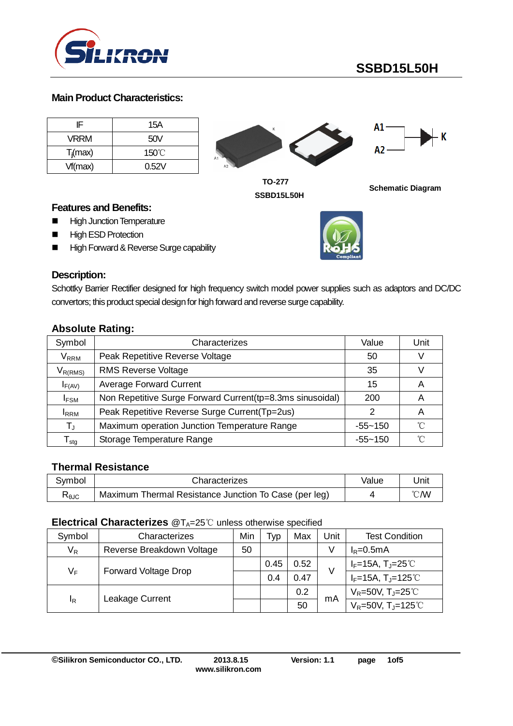

#### **Main Product Characteristics:**

| IF          | 15A   |    |
|-------------|-------|----|
| <b>VRRM</b> | 50V   |    |
| $T_j(max)$  | 150°C | A1 |
| Vf(max)     | 0.52V | A2 |





**TO-277 SSBD15L50H**

**Schematic Diagram**

#### **Features and Benefits:**

- **High Junction Temperature**
- **High ESD Protection**
- High Forward & Reverse Surge capability



#### **Description:**

Schottky Barrier Rectifier designed for high frequency switch model power supplies such as adaptors and DC/DC convertors; this product special design for high forward and reverse surge capability.

#### **Absolute Rating:**

| Symbol                      | Characterizes                                              | Value       | Unit |
|-----------------------------|------------------------------------------------------------|-------------|------|
| $\mathsf{V}_\mathsf{RRM}$   | Peak Repetitive Reverse Voltage                            | 50          |      |
| $V_{R(RMS)}$                | <b>RMS Reverse Voltage</b>                                 | 35          |      |
| $I_{F(AV)}$                 | <b>Average Forward Current</b>                             | 15          | A    |
| $I_{FSM}$                   | Non Repetitive Surge Forward Current (tp=8.3ms sinusoidal) | 200         | A    |
| <b>IRRM</b>                 | Peak Repetitive Reverse Surge Current(Tp=2us)              |             | Α    |
| $T_{\rm J}$                 | Maximum operation Junction Temperature Range               | -55~150     | °∩   |
| $\mathsf{T}_{\textsf{stg}}$ | Storage Temperature Range                                  | $-55 - 150$ | ∽    |

#### **Thermal Resistance**

| Svmbol | Characterizes                                         | Value | Jnit |
|--------|-------------------------------------------------------|-------|------|
| ≺θJC   | Maximum Thermal Resistance Junction To Case (per leg) |       | °C/W |

#### **Electrical Characterizes** @T<sub>A</sub>=25℃ unless otherwise specified

| Symbol | Characterizes               | Min | Typ  | Max  | Jnit | <b>Test Condition</b>                         |
|--------|-----------------------------|-----|------|------|------|-----------------------------------------------|
| $V_R$  | Reverse Breakdown Voltage   | 50  |      |      |      | $I_R = 0.5mA$                                 |
|        | <b>Forward Voltage Drop</b> |     | 0.45 | 0.52 | V    | $I_F=15A$ , $T_J=25^{\circ}$                  |
| $V_F$  |                             |     | 0.4  | 0.47 |      | $I_F = 15A, T_J = 125^{\circ}C$               |
|        | Leakage Current             |     |      | 0.2  | mA   | $V_R = 50V$ , T <sub>J</sub> $= 25^{\circ}$ C |
| ΙR     |                             |     |      | 50   |      | $V_R = 50V$ , T <sub>J</sub> =125°C           |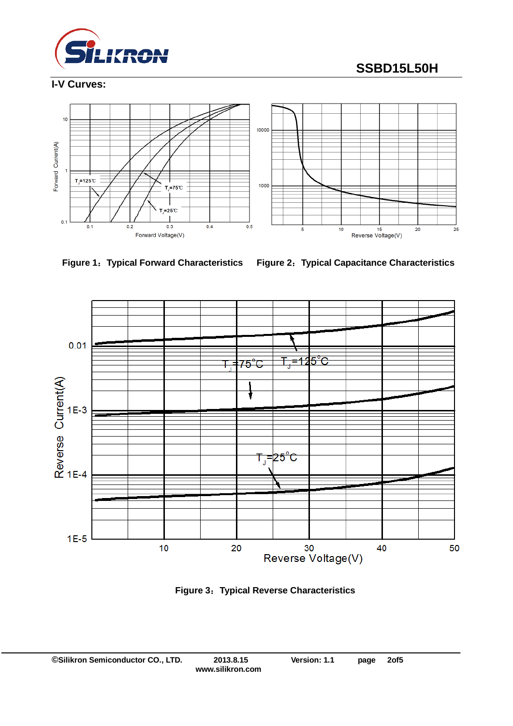

# **SSBD15L50H**

## **I-V Curves:**





**Figure 1**:**Typical Forward Characteristics Figure 2**:**Typical Capacitance Characteristics**



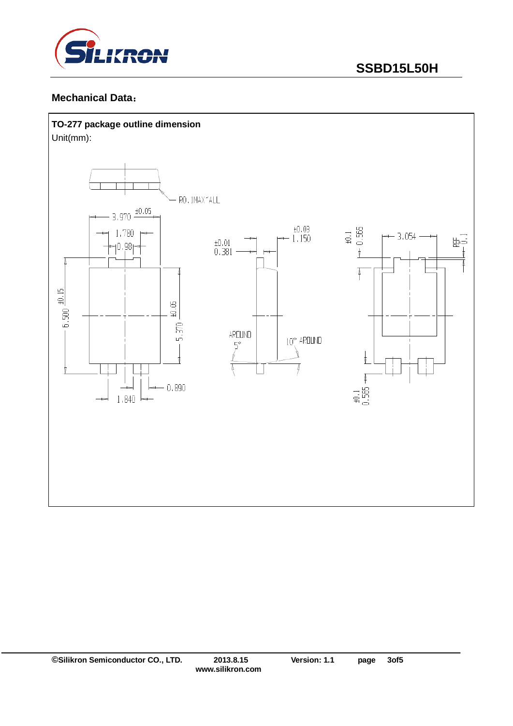

#### **Mechanical Data**:

#### **TO-277 package outline dimension**

Unit(mm):

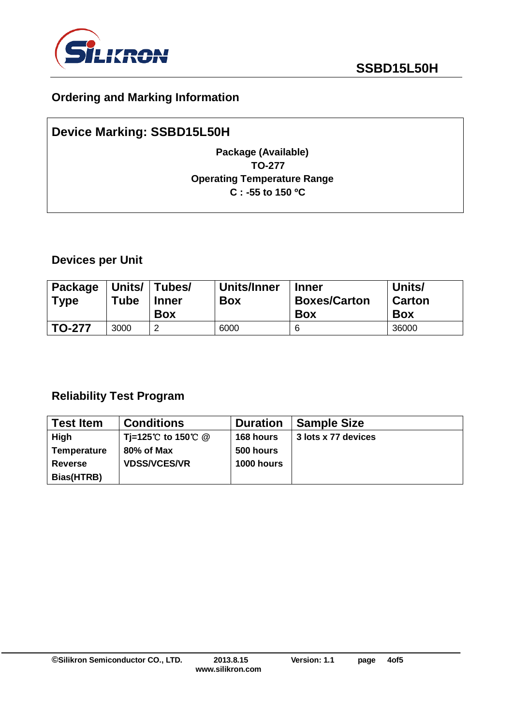

# **Ordering and Marking Information**

# **Device Marking: SSBD15L50H Package (Available) TO-277 Operating Temperature Range C : -55 to 150 ºC**

### **Devices per Unit**

| Package<br><b>Type</b> | Units/<br>Tube | Tubes/<br><b>Inner</b><br><b>Box</b> | Units/Inner<br><b>Box</b> | <b>Inner</b><br><b>Boxes/Carton</b><br><b>Box</b> | Units/<br><b>Carton</b><br><b>Box</b> |
|------------------------|----------------|--------------------------------------|---------------------------|---------------------------------------------------|---------------------------------------|
| <b>TO-277</b>          | 3000           | ◠                                    | 6000                      | 6                                                 | 36000                                 |

# **Reliability Test Program**

| <b>Test Item</b>   | <b>Conditions</b>   | <b>Duration</b> | <b>Sample Size</b>  |
|--------------------|---------------------|-----------------|---------------------|
| High               | Ti=125℃ to 150℃ @   | 168 hours       | 3 lots x 77 devices |
| <b>Temperature</b> | 80% of Max          | 500 hours       |                     |
| <b>Reverse</b>     | <b>VDSS/VCES/VR</b> | 1000 hours      |                     |
| Bias(HTRB)         |                     |                 |                     |